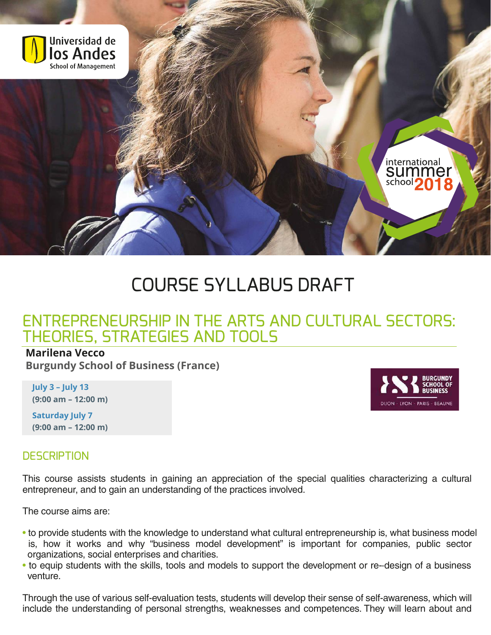

# COURSE SYLLABUS DRAFT

# ENTREPRENEURSHIP IN THE ARTS AND CULTURAL SECTORS: THEORIES, STRATEGIES AND TOOLS

#### **Marilena Vecco**

**Burgundy School of Business (France)**

**July 3 – July 13 (9:00 am – 12:00 m)**

**Saturday July 7 (9:00 am – 12:00 m)**

#### **DESCRIPTION**

This course assists students in gaining an appreciation of the special qualities characterizing a cultural entrepreneur, and to gain an understanding of the practices involved.

The course aims are:

- to provide students with the knowledge to understand what cultural entrepreneurship is, what business model is, how it works and why "business model development" is important for companies, public sector organizations, social enterprises and charities.
- to equip students with the skills, tools and models to support the development or re-design of a business venture.

Through the use of various self-evaluation tests, students will develop their sense of self-awareness, which will include the understanding of personal strengths, weaknesses and competences. They will learn about and



international sumr school<sup>4</sup>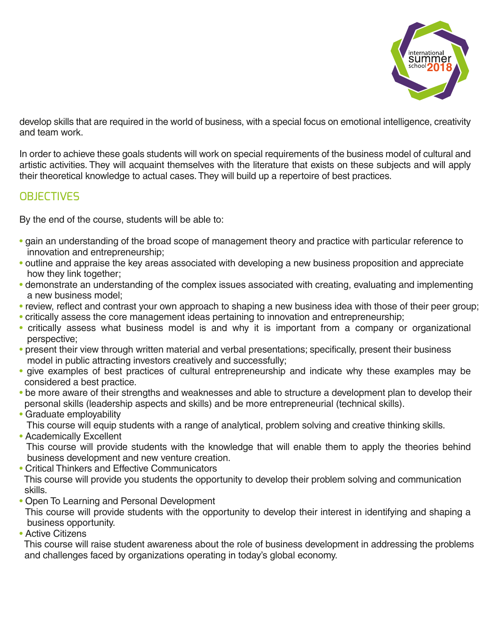

develop skills that are required in the world of business, with a special focus on emotional intelligence, creativity and team work.

In order to achieve these goals students will work on special requirements of the business model of cultural and artistic activities. They will acquaint themselves with the literature that exists on these subjects and will apply their theoretical knowledge to actual cases. They will build up a repertoire of best practices.

## **OBJECTIVES**

By the end of the course, students will be able to:

- gain an understanding of the broad scope of management theory and practice with particular reference to innovation and entrepreneurship;
- outline and appraise the key areas associated with developing a new business proposition and appreciate how they link together;
- demonstrate an understanding of the complex issues associated with creating, evaluating and implementing a new business model;
- review, reflect and contrast your own approach to shaping a new business idea with those of their peer group;
- critically assess the core management ideas pertaining to innovation and entrepreneurship;
- critically assess what business model is and why it is important from a company or organizational perspective;
- present their view through written material and verbal presentations; specifically, present their business model in public attracting investors creatively and successfully;
- give examples of best practices of cultural entrepreneurship and indicate why these examples may be considered a best practice.
- be more aware of their strengths and weaknesses and able to structure a development plan to develop their personal skills (leadership aspects and skills) and be more entrepreneurial (technical skills).
- Graduate employability This course will equip students with a range of analytical, problem solving and creative thinking skills.
- Academically Excellent

 This course will provide students with the knowledge that will enable them to apply the theories behind business development and new venture creation.

- Critical Thinkers and Effective Communicators This course will provide you students the opportunity to develop their problem solving and communication skills.
- Open To Learning and Personal Development

 This course will provide students with the opportunity to develop their interest in identifying and shaping a business opportunity.

• Active Citizens

 This course will raise student awareness about the role of business development in addressing the problems and challenges faced by organizations operating in today's global economy.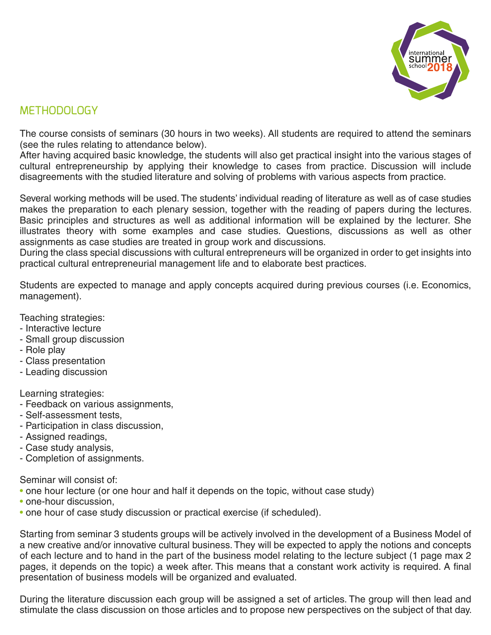

# METHODOLOGY

The course consists of seminars (30 hours in two weeks). All students are required to attend the seminars (see the rules relating to attendance below).

After having acquired basic knowledge, the students will also get practical insight into the various stages of cultural entrepreneurship by applying their knowledge to cases from practice. Discussion will include disagreements with the studied literature and solving of problems with various aspects from practice.

Several working methods will be used. The students' individual reading of literature as well as of case studies makes the preparation to each plenary session, together with the reading of papers during the lectures. Basic principles and structures as well as additional information will be explained by the lecturer. She illustrates theory with some examples and case studies. Questions, discussions as well as other assignments as case studies are treated in group work and discussions.

During the class special discussions with cultural entrepreneurs will be organized in order to get insights into practical cultural entrepreneurial management life and to elaborate best practices.

Students are expected to manage and apply concepts acquired during previous courses (i.e. Economics, management).

Teaching strategies:

- Interactive lecture
- Small group discussion
- Role play
- Class presentation
- Leading discussion

Learning strategies:

- Feedback on various assignments,
- Self-assessment tests,
- Participation in class discussion,
- Assigned readings,
- Case study analysis,
- Completion of assignments.

Seminar will consist of:

- one hour lecture (or one hour and half it depends on the topic, without case study)
- one-hour discussion.
- one hour of case study discussion or practical exercise (if scheduled).

Starting from seminar 3 students groups will be actively involved in the development of a Business Model of a new creative and/or innovative cultural business. They will be expected to apply the notions and concepts of each lecture and to hand in the part of the business model relating to the lecture subject (1 page max 2 pages, it depends on the topic) a week after. This means that a constant work activity is required. A final presentation of business models will be organized and evaluated.

During the literature discussion each group will be assigned a set of articles. The group will then lead and stimulate the class discussion on those articles and to propose new perspectives on the subject of that day.